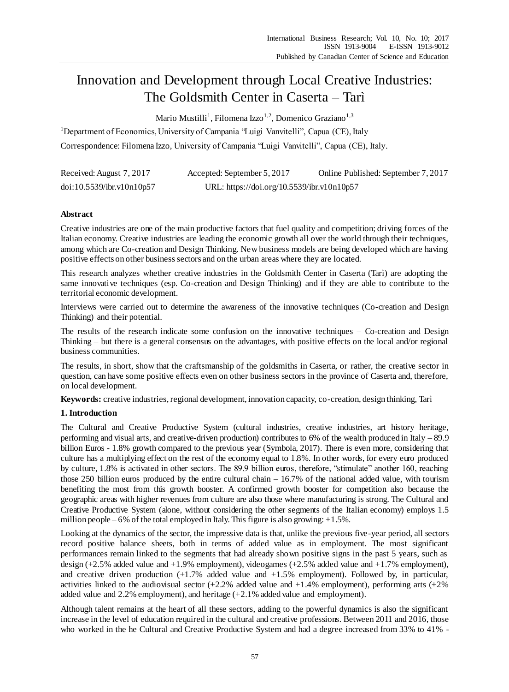# Innovation and Development through Local Creative Industries: The Goldsmith Center in Caserta – Tarì

Mario Mustilli<sup>1</sup>, Filomena Izzo<sup>1,2</sup>, Domenico Graziano<sup>1,3</sup>

<sup>1</sup>Department of Economics, University of Campania "Luigi Vanvitelli", Capua (CE), Italy Correspondence: Filomena Izzo, University of Campania "Luigi Vanvitelli", Capua (CE), Italy.

| Received: August 7, 2017  | Accepted: September 5, 2017                | Online Published: September 7, 2017 |
|---------------------------|--------------------------------------------|-------------------------------------|
| doi:10.5539/ibr.v10n10p57 | URL: https://doi.org/10.5539/ibr.v10n10p57 |                                     |

# **Abstract**

Creative industries are one of the main productive factors that fuel quality and competition; driving forces of the Italian economy. Creative industries are leading the economic growth all over the world through their techniques, among which are Co-creation and Design Thinking. New business models are being developed which are having positive effects on other business sectors and on the urban areas where they are located.

This research analyzes whether creative industries in the Goldsmith Center in Caserta (Tarì) are adopting the same innovative techniques (esp. Co-creation and Design Thinking) and if they are able to contribute to the territorial economic development.

Interviews were carried out to determine the awareness of the innovative techniques (Co-creation and Design Thinking) and their potential.

The results of the research indicate some confusion on the innovative techniques – Co-creation and Design Thinking – but there is a general consensus on the advantages, with positive effects on the local and/or regional business communities.

The results, in short, show that the craftsmanship of the goldsmiths in Caserta, or rather, the creative sector in question, can have some positive effects even on other business sectors in the province of Caserta and, therefore, on local development.

**Keywords:** creative industries, regional development, innovation capacity, co-creation, design thinking, Tar i

# **1. Introduction**

The Cultural and Creative Productive System (cultural industries, creative industries, art history heritage, performing and visual arts, and creative-driven production) contributes to 6% of the wealth produced in Italy – 89.9 billion Euros - 1.8% growth compared to the previous year (Symbola, 2017). There is even more, considering that culture has a multiplying effect on the rest of the economy equal to 1.8%. In other words, for every euro produced by culture, 1.8% is activated in other sectors. The 89.9 billion euros, therefore, "stimulate" another 160, reaching those 250 billion euros produced by the entire cultural chain – 16.7% of the national added value, with tourism benefiting the most from this growth booster. A confirmed growth booster for competition also because the geographic areas with higher revenues from culture are also those where manufacturing is strong. The Cultural and Creative Productive System (alone, without considering the other segments of the Italian economy) employs 1.5 million people – 6% of the total employed in Italy. This figure is also growing: +1.5%.

Looking at the dynamics of the sector, the impressive data is that, unlike the previous five-year period, all sectors record positive balance sheets, both in terms of added value as in employment. The most significant performances remain linked to the segments that had already shown positive signs in the past 5 years, such as design (+2.5% added value and +1.9% employment), videogames (+2.5% added value and +1.7% employment), and creative driven production  $(+1.7\%$  added value and  $+1.5\%$  employment). Followed by, in particular, activities linked to the audiovisual sector  $(+2.2\%$  added value and  $+1.4\%$  employment), performing arts  $(+2\%$ added value and 2.2% employment), and heritage (+2.1% added value and employment).

Although talent remains at the heart of all these sectors, adding to the powerful dynamics is also the significant increase in the level of education required in the cultural and creative professions. Between 2011 and 2016, those who worked in the he Cultural and Creative Productive System and had a degree increased from 33% to 41% -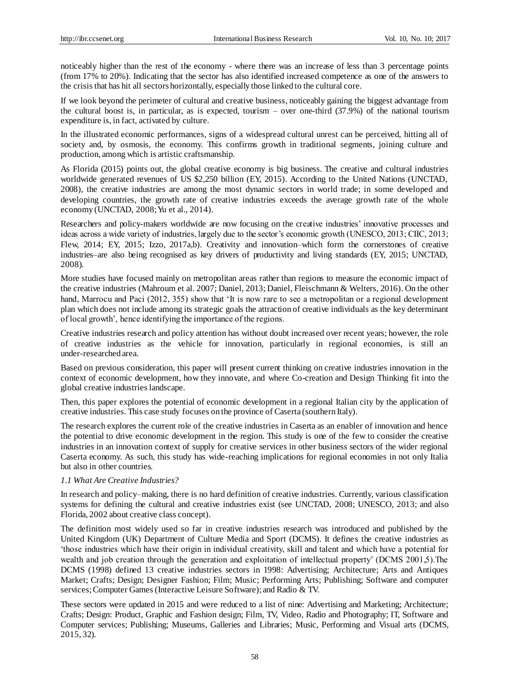noticeably higher than the rest of the economy - where there was an increase of less than 3 percentage points (from 17% to 20%). Indicating that the sector has also identified increased competence as one of the answers to the crisis that has hit all sectors horizontally, especially those linked to the cultural core.

If we look beyond the perimeter of cultural and creative business, noticeably gaining the biggest advantage from the cultural boost is, in particular, as is expected, tourism – over one-third (37.9%) of the national tourism expenditure is, in fact, activated by culture.

In the illustrated economic performances, signs of a widespread cultural unrest can be perceived, hitting all of society and, by osmosis, the economy. This confirms growth in traditional segments, joining culture and production, among which is artistic craftsmanship.

As Florida (2015) points out, the global creative economy is big business. The creative and cultural industries worldwide generated revenues of US \$2,250 billion (EY, 2015). According to the United Nations (UNCTAD, 2008), the creative industries are among the most dynamic sectors in world trade; in some developed and developing countries, the growth rate of creative industries exceeds the average growth rate of the whole economy (UNCTAD, 2008; Yu et al., 2014).

Researchers and policy-makers worldwide are now focusing on the creative industries' innovative processes and ideas across a wide variety of industries, largely due to the sector's economic growth (UNESCO, 2013; CIIC, 2013; Flew, 2014; EY, 2015; Izzo, 2017a,b). Creativity and innovation–which form the cornerstones of creative industries–are also being recognised as key drivers of productivity and living standards (EY, 2015; UNCTAD, 2008).

More studies have focused mainly on metropolitan areas rather than regions to measure the economic impact of the creative industries (Mahroum et al. 2007; Daniel, 2013; Daniel, Fleischmann & Welters, 2016). On the other hand, Marrocu and Paci (2012, 355) show that 'It is now rare to see a metropolitan or a regional development plan which does not include among its strategic goals the attraction of creative individuals as the key determinant of local growth', hence identifying the importance of the regions.

Creative industries research and policy attention has without doubt increased over recent years; however, the role of creative industries as the vehicle for innovation, particularly in regional economies, is still an under-researched area.

Based on previous consideration, this paper will present current thinking on creative industries innovation in the context of economic development, how they innovate, and where Co-creation and Design Thinking fit into the global creative industries landscape.

Then, this paper explores the potential of economic development in a regional Italian city by the application of creative industries. This case study focuses on the province of Caserta (southern Italy).

The research explores the current role of the creative industries in Caserta as an enabler of innovation and hence the potential to drive economic development in the region. This study is one of the few to consider the creative industries in an innovation context of supply for creative services in other business sectors of the wider regional Caserta economy. As such, this study has wide-reaching implications for regional economies in not only Italia but also in other countries.

## *1.1 What Are Creative Industries?*

In research and policy–making, there is no hard definition of creative industries. Currently, various classification systems for defining the cultural and creative industries exist (see UNCTAD, 2008; UNESCO, 2013; and also Florida, 2002 about creative class concept).

The definition most widely used so far in creative industries research was introduced and published by the United Kingdom (UK) Department of Culture Media and Sport (DCMS). It defines the creative industries as 'those industries which have their origin in individual creativity, skill and talent and which have a potential for wealth and job creation through the generation and exploitation of intellectual property' (DCMS 2001,5). The DCMS (1998) defined 13 creative industries sectors in 1998: Advertising; Architecture; Arts and Antiques Market; Crafts; Design; Designer Fashion; Film; Music; Performing Arts; Publishing; Software and computer services; Computer Games (Interactive Leisure Software); and Radio & TV.

These sectors were updated in 2015 and were reduced to a list of nine: Advertising and Marketing; Architecture; Crafts; Design: Product, Graphic and Fashion design; Film, TV, Video, Radio and Photography; IT, Software and Computer services; Publishing; Museums, Galleries and Libraries; Music, Performing and Visual arts (DCMS, 2015, 32).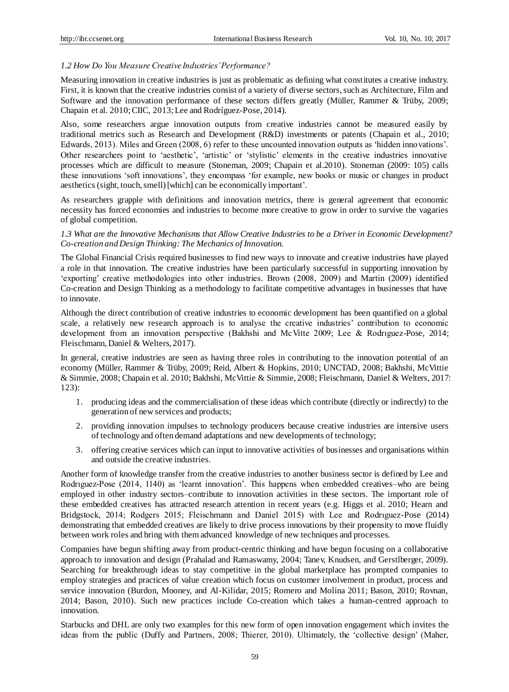#### *1.2 How Do You Measure Creative Industries' Performance?*

Measuring innovation in creative industries is just as problematic as defining what constitutes a creative industry. First, it is known that the creative industries consist of a variety of diverse sectors, such as Architecture, Film and Software and the innovation performance of these sectors differs greatly (Müller, Rammer & Trüby, 2009; Chapain et al. 2010; CIIC, 2013; Lee and Rodr guez-Pose, 2014).

Also, some researchers argue innovation outputs from creative industries cannot be measured easily by traditional metrics such as Research and Development (R&D) investments or patents (Chapain et al., 2010; Edwards, 2013). Miles and Green (2008, 6) refer to these uncounted innovation outputs as 'hidden innovations'. Other researchers point to 'aesthetic', 'artistic' or 'stylistic' elements in the creative industries innovative processes which are difficult to measure (Stoneman, 2009; Chapain et al.2010). Stoneman (2009: 105) calls these innovations 'soft innovations', they encompass 'for example, new books or music or changes in product aesthetics (sight, touch, smell) [which] can be economically important'.

As researchers grapple with definitions and innovation metrics, there is general agreement that economic necessity has forced economies and industries to become more creative to grow in order to survive the vagaries of global competition.

### *1.3 What are the Innovative Mechanisms that Allow Creative Industries to be a Driver in Economic Development? Co-creation and Design Thinking: The Mechanics of Innovation.*

The Global Financial Crisis required businesses to find new ways to innovate and creative industries have played a role in that innovation. The creative industries have been particularly successful in supporting innovation by 'exporting' creative methodologies into other industries. Brown (2008, 2009) and Martin (2009) identified Co-creation and Design Thinking as a methodology to facilitate competitive advantages in businesses that have to innovate.

Although the direct contribution of creative industries to economic development has been quantified on a global scale, a relatively new research approach is to analyse the creative industries' contribution to economic development from an innovation perspective (Bakhshi and McVitte 2009; Lee & Rodrıguez-Pose, 2014; Fleischmann, Daniel & Welters, 2017).

In general, creative industries are seen as having three roles in contributing to the innovation potential of an economy (Müller, Rammer & Trüby, 2009; Reid, Albert & Hopkins, 2010; UNCTAD, 2008; Bakhshi, McVittie & Simmie, 2008; Chapain et al. 2010; Bakhshi, McVittie & Simmie, 2008; Fleischmann, Daniel & Welters, 2017: 123):

- 1. producing ideas and the commercialisation of these ideas which contribute (directly or indirectly) to the generation of new services and products;
- 2. providing innovation impulses to technology producers because creative industries are intensive users of technology and often demand adaptations and new developments of technology;
- 3. offering creative services which can input to innovative activities of businesses and organisations within and outside the creative industries.

Another form of knowledge transfer from the creative industries to another business sector is defined by Lee and Rodrıguez-Pose (2014, 1140) as 'learnt innovation'. This happens when embedded creatives–who are being employed in other industry sectors–contribute to innovation activities in these sectors. The important role of these embedded creatives has attracted research attention in recent years (e.g. Higgs et al. 2010; Hearn and Bridgstock, 2014; Rodgers 2015; Fleischmann and Daniel 2015) with Lee and Rodrıguez-Pose (2014) demonstrating that embedded creatives are likely to drive process innovations by their propensity to move fluidly between work roles and bring with them advanced knowledge of new techniques and processes.

Companies have begun shifting away from product-centric thinking and have begun focusing on a collaborative approach to innovation and design (Prahalad and Ramaswamy, 2004; Tanev, Knudsen, and Gerstlberger, 2009). Searching for breakthrough ideas to stay competitive in the global marketplace has prompted companies to employ strategies and practices of value creation which focus on customer involvement in product, process and service innovation (Burdon, Mooney, and Al-Kilidar, 2015; Romero and Molina 2011; Bason, 2010; Rovnan, 2014; Bason, 2010). Such new practices include Co-creation which takes a human-centred approach to innovation.

Starbucks and DHL are only two examples for this new form of open innovation engagement which invites the ideas from the public (Duffy and Partners, 2008; Thierer, 2010). Ultimately, the 'collective design' (Maher,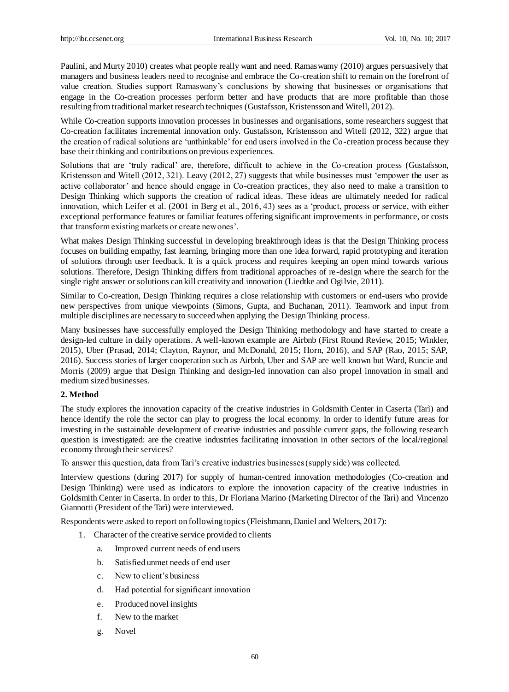Paulini, and Murty 2010) creates what people really want and need. Ramaswamy (2010) argues persuasively that managers and business leaders need to recognise and embrace the Co-creation shift to remain on the forefront of value creation. Studies support Ramaswany's conclusions by showing that businesses or organisations that engage in the Co-creation processes perform better and have products that are more profitable than those resulting from traditional market research techniques (Gustafsson, Kristensson and Witell, 2012).

While Co-creation supports innovation processes in businesses and organisations, some researchers suggest that Co-creation facilitates incremental innovation only. Gustafsson, Kristensson and Witell (2012, 322) argue that the creation of radical solutions are 'unthinkable' for end users involved in the Co-creation process because they base their thinking and contributions on previous experiences.

Solutions that are 'truly radical' are, therefore, difficult to achieve in the Co-creation process (Gustafsson, Kristensson and Witell (2012, 321). Leavy (2012, 27) suggests that while businesses must 'empower the user as active collaborator' and hence should engage in Co-creation practices, they also need to make a transition to Design Thinking which supports the creation of radical ideas. These ideas are ultimately needed for radical innovation, which Leifer et al. (2001 in Berg et al., 2016, 43) sees as a 'product, process or service, with either exceptional performance features or familiar features offering significant improvements in performance, or costs that transform existing markets or create new ones'.

What makes Design Thinking successful in developing breakthrough ideas is that the Design Thinking process focuses on building empathy, fast learning, bringing more than one idea forward, rapid prototyping and iteration of solutions through user feedback. It is a quick process and requires keeping an open mind towards various solutions. Therefore, Design Thinking differs from traditional approaches of re-design where the search for the single right answer or solutions can kill creativity and innovation (Liedtke and Ogilvie, 2011).

Similar to Co-creation, Design Thinking requires a close relationship with customers or end-users who provide new perspectives from unique viewpoints (Simons, Gupta, and Buchanan, 2011). Teamwork and input from multiple disciplines are necessary to succeed when applying the Design Thinking process.

Many businesses have successfully employed the Design Thinking methodology and have started to create a design-led culture in daily operations. A well-known example are Airbnb (First Round Review, 2015; Winkler, 2015), Uber (Prasad, 2014; Clayton, Raynor, and McDonald, 2015; Horn, 2016), and SAP (Rao, 2015; SAP, 2016). Success stories of larger cooperation such as Airbnb, Uber and SAP are well known but Ward, Runcie and Morris (2009) argue that Design Thinking and design-led innovation can also propel innovation in small and medium sized businesses.

#### **2. Method**

The study explores the innovation capacity of the creative industries in Goldsmith Center in Caserta (Tarì) and hence identify the role the sector can play to progress the local economy. In order to identify future areas for investing in the sustainable development of creative industries and possible current gaps, the following research question is investigated: are the creative industries facilitating innovation in other sectors of the local/regional economy through their services?

To answer this question, data from Tarì's creative industries businesses (supply side) was collected.

Interview questions (during 2017) for supply of human-centred innovation methodologies (Co-creation and Design Thinking) were used as indicators to explore the innovation capacity of the creative industries in Goldsmith Center in Caserta. In order to this, Dr Floriana Marino (Marketing Director of the Tar ) and Vincenzo Giannotti (President of the Tarì) were interviewed.

Respondents were asked to report on following topics (Fleishmann, Daniel and Welters, 2017):

- 1. Character of the creative service provided to clients
	- a. Improved current needs of end users
	- b. Satisfied unmet needs of end user
	- c. New to client's business
	- d. Had potential for significant innovation
	- e. Produced novel insights
	- f. New to the market
	- g. Novel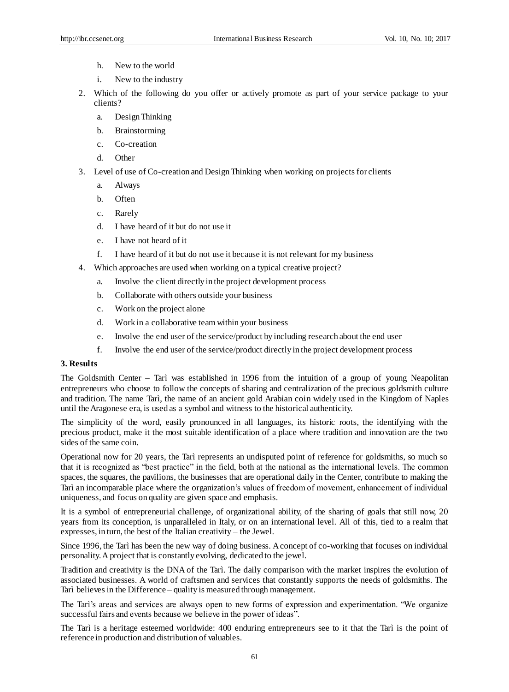- h. New to the world
- i. New to the industry
- 2. Which of the following do you offer or actively promote as part of your service package to your clients?
	- a. Design Thinking
	- b. Brainstorming
	- c. Co-creation
	- d. Other
- 3. Level of use of Co-creation and Design Thinking when working on projects for clients
	- a. Always
	- b. Often
	- c. Rarely
	- d. I have heard of it but do not use it
	- e. I have not heard of it
	- f. I have heard of it but do not use it because it is not relevant for my business
- 4. Which approaches are used when working on a typical creative project?
	- a. Involve the client directly in the project development process
	- b. Collaborate with others outside your business
	- c. Work on the project alone
	- d. Work in a collaborative team within your business
	- e. Involve the end user of the service/product by including research about the end user
	- f. Involve the end user of the service/product directly in the project development process

# **3. Results**

The Goldsmith Center – Tarìwas established in 1996 from the intuition of a group of young Neapolitan entrepreneurs who choose to follow the concepts of sharing and centralization of the precious goldsmith culture and tradition. The name Tarì, the name of an ancient gold Arabian coin widely used in the Kingdom of Naples until the Aragonese era, is used as a symbol and witness to the historical authenticity.

The simplicity of the word, easily pronounced in all languages, its historic roots, the identifying with the precious product, make it the most suitable identification of a place where tradition and innovation are the two sides of the same coin.

Operational now for 20 years, the Tarì represents an undisputed point of reference for goldsmiths, so much so that it is recognized as "best practice" in the field, both at the national as the international levels. The common spaces, the squares, the pavilions, the businesses that are operational daily in the Center, contribute to making the Tar ì an incomparable place where the organization's values of freedom of movement, enhancement of individual uniqueness, and focus on quality are given space and emphasis.

It is a symbol of entrepreneurial challenge, of organizational ability, of the sharing of goals that still now, 20 years from its conception, is unparalleled in Italy, or on an international level. All of this, tied to a realm that expresses, in turn, the best of the Italian creativity – the Jewel.

Since 1996, the Tarì has been the new way of doing business. A concept of co-working that focuses on individual personality. A project that is constantly evolving, dedicated to the jewel.

Tradition and creativity is the DNA of the Tarì. The daily comparison with the market inspires the evolution of associated businesses. A world of craftsmen and services that constantly supports the needs of goldsmiths. The Tar ì believes in the Difference – quality is measured through management.

The Tarì's areas and services are always open to new forms of expression and experimentation. "We organize successful fairs and events because we believe in the power of ideas".

The Tarì is a heritage esteemed worldwide: 400 enduring entrepreneurs see to it that the Tarì is the point of reference in production and distribution of valuables.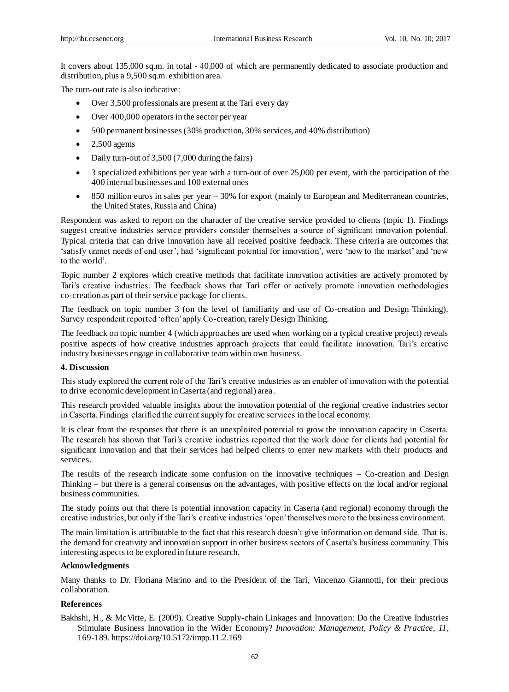It covers about 135,000 sq.m. in total - 40,000 of which are permanently dedicated to associate production and distribution, plus a 9,500 sq.m. exhibition area.

The turn-out rate is also indicative:

- Over 3,500 professionals are present at the Tar ì every day
- Over 400,000 operators in the sector per year
- 500 permanent businesses (30% production, 30% services, and 40% distribution)
- $\bullet$  2,500 agents
- Daily turn-out of 3,500 (7,000 during the fairs)
- 3 specialized exhibitions per year with a turn-out of over 25,000 per event, with the participation of the 400 internal businesses and 100 external ones
- 850 million euros in sales per year 30% for export (mainly to European and Mediterranean countries, the United States, Russia and China)

Respondent was asked to report on the character of the creative service provided to clients (topic 1). Findings suggest creative industries service providers consider themselves a source of significant innovation potential. Typical criteria that can drive innovation have all received positive feedback. These criteria are outcomes that 'satisfy unmet needs of end user', had 'significant potential for innovation', were 'new to the market' and 'new to the world'.

Topic number 2 explores which creative methods that facilitate innovation activities are actively promoted by Tari's creative industries. The feedback shows that Tarì offer or actively promote innovation methodologies co-creation as part of their service package for clients.

The feedback on topic number 3 (on the level of familiarity and use of Co-creation and Design Thinking). Survey respondent reported 'often' apply Co-creation, rarely Design Thinking.

The feedback on topic number 4 (which approaches are used when working on a typical creative project) reveals positive aspects of how creative industries approach projects that could facilitate innovation. Tarì's creative industry businesses engage in collaborative team within own business.

## **4. Discussion**

This study explored the current role of the Tari's creative industries as an enabler of innovation with the potential to drive economic development in Caserta (and regional) area .

This research provided valuable insights about the innovation potential of the regional creative industries sector in Caserta. Findings clarified the current supply for creative services in the local economy.

It is clear from the responses that there is an unexploited potential to grow the innovation capacity in Caserta. The research has shown that Tarì's creative industries reported that the work done for clients had potential for significant innovation and that their services had helped clients to enter new markets with their products and services.

The results of the research indicate some confusion on the innovative techniques – Co-creation and Design Thinking – but there is a general consensus on the advantages, with positive effects on the local and/or regional business communities.

The study points out that there is potential innovation capacity in Caserta (and regional) economy through the creative industries, but only if the Tari's creative industries 'open' themselves more to the business environment.

The main limitation is attributable to the fact that this research doesn't give information on demand side. That is, the demand for creativity and innovation support in other business sectors of Caserta's business community. This interesting aspects to be explored in future research.

#### **Acknowledgments**

Many thanks to Dr. Floriana Marino and to the President of the Tarì, Vincenzo Giannotti, for their precious collaboration.

#### **References**

Bakhshi, H., & McVitte, E. (2009). Creative Supply-chain Linkages and Innovation: Do the Creative Industries Stimulate Business Innovation in the Wider Economy? *Innovation: Management, Policy & Practice, 11,*  169-189[. https://doi.org/10.5172/impp.11.2.169](https://doi.org/10.5172/impp.11.2.169)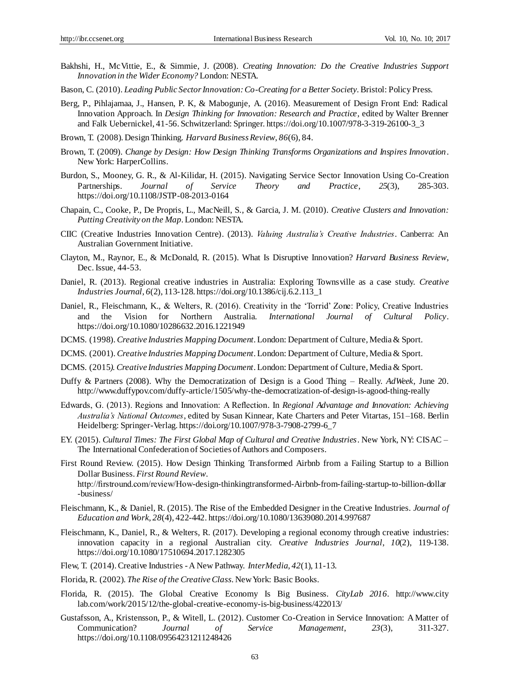- Bakhshi, H., McVittie, E., & Simmie, J. (2008). *Creating Innovation: Do the Creative Industries Support Innovation in the Wider Economy?* London: NESTA.
- Bason, C. (2010). *Leading Public Sector Innovation: Co-Creating for a Better Society*. Bristol: Policy Press.
- Berg, P., Pihlajamaa, J., Hansen, P. K, & Mabogunje, A. (2016). Measurement of Design Front End: Radical Innovation Approach. In *Design Thinking for Innovation: Research and Practice*, edited by Walter Brenner and Falk Uebernickel, 41-56. Schwitzerland: Springer[. https://doi.org/10.1007/978-3-319-26100-3\\_3](https://doi.org/10.1007/978-3-319-26100-3_3)
- Brown, T. (2008). Design Thinking. *Harvard Business Review*, *86*(6), 84.
- Brown, T. (2009). *Change by Design: How Design Thinking Transforms Organizations and Inspires Innovation*. New York: HarperCollins.
- Burdon, S., Mooney, G. R., & Al-Kilidar, H. (2015). Navigating Service Sector Innovation Using Co-Creation Partnerships. *Journal of Service Theory and Practice*, *25*(3), 285-303. https://doi.org/10.1108/JSTP-08-2013-0164
- Chapain, C., Cooke, P., De Propris, L., MacNeill, S., & Garcia, J. M. (2010). *Creative Clusters and Innovation: Putting Creativity on the Map*. London: NESTA.
- CIIC (Creative Industries Innovation Centre). (2013). *Valuing Australia's Creative Industries*. Canberra: An Australian Government Initiative.
- Clayton, M., Raynor, E., & McDonald, R. (2015). What Is Disruptive Innovation? *Harvard Business Review*, Dec. Issue, 44-53.
- Daniel, R. (2013). Regional creative industries in Australia: Exploring Townsville as a case study. *Creative Industries Journal*, *6*(2), 113-128. https://doi.org/10.1386/cij.6.2.113\_1
- Daniel, R., Fleischmann, K., & Welters, R. (2016). Creativity in the 'Torrid' Zone: Policy, Creative Industries and the Vision for Northern Australia. *International Journal of Cultural Policy*. https://doi.org/10.1080/10286632.2016.1221949
- DCMS. (1998). *Creative Industries Mapping Document*. London: Department of Culture, Media & Sport.
- DCMS. (2001). *Creative Industries Mapping Document*. London: Department of Culture, Media & Sport.
- DCMS. (2015*). Creative Industries Mapping Document*. London: Department of Culture, Media & Sport.
- Duffy & Partners (2008). Why the Democratization of Design is a Good Thing Really. *AdWeek*, June 20. http://www.duffypov.com/duffy-article/1505/why-the-democratization-of-design-is-agood-thing-really
- Edwards, G. (2013). Regions and Innovation: A Reflection. In *Regional Advantage and Innovation: Achieving Australia's National Outcomes*, edited by Susan Kinnear, Kate Charters and Peter Vitartas, 151–168. Berlin Heidelberg: Springer-Verlag[. https://doi.org/10.1007/978-3-7908-2799-6\\_7](https://doi.org/10.1007/978-3-7908-2799-6_7)
- EY. (2015). *Cultural Times: The First Global Map of Cultural and Creative Industries*. New York, NY: CISAC The International Confederation of Societies of Authors and Composers.
- First Round Review. (2015). How Design Thinking Transformed Airbnb from a Failing Startup to a Billion Dollar Business. *First Round Review*.

http://firstround.com/review/How-design-thinkingtransformed-Airbnb-from-failing-startup-to-billion-dollar -business/

- Fleischmann, K., & Daniel, R. (2015). The Rise of the Embedded Designer in the Creative Industries. *Journal of Education and Work*, *28*(4), 422-442. https://doi.org/10.1080/13639080.2014.997687
- Fleischmann, K., Daniel, R., & Welters, R. (2017). Developing a regional economy through creative industries: innovation capacity in a regional Australian city. *Creative Industries Journal*, *10*(2), 119-138. https://doi.org/10.1080/17510694.2017.1282305
- Flew, T. (2014). Creative Industries -A New Pathway. *InterMedia*, *42*(1), 11-13.
- Florida, R. (2002). *The Rise of the Creative Class*. New York: Basic Books.
- Florida, R. (2015). The Global Creative Economy Is Big Business. *CityLab 2016*. http://www.city lab.com/work/2015/12/the-global-creative-economy-is-big-business/422013/
- Gustafsson, A., Kristensson, P., & Witell, L. (2012). Customer Co-Creation in Service Innovation: A Matter of Communication? *Journal of Service Management*, *23*(3), 311-327. https://doi.org/10.1108/09564231211248426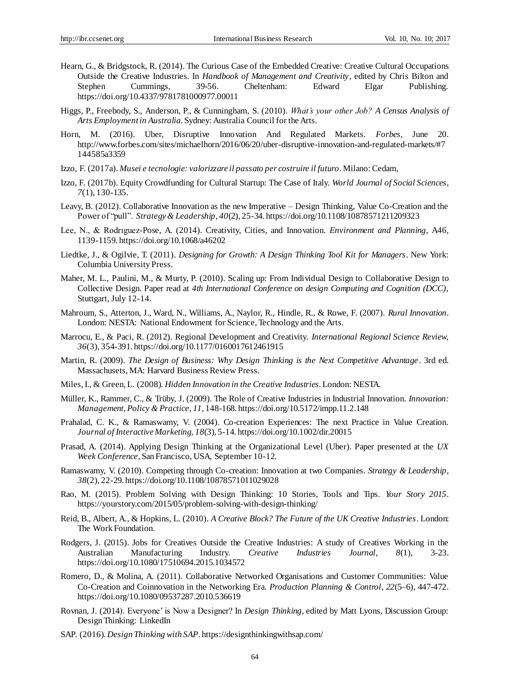- Hearn, G., & Bridgstock, R. (2014). The Curious Case of the Embedded Creative: Creative Cultural Occupations Outside the Creative Industries. In *Handbook of Management and Creativity*, edited by Chris Bilton and Stephen Cummings, 39-56. Cheltenham: Edward Elgar Publishing. Stephen Cummings, 39-56. Cheltenham: Edward Elgar Publishing. <https://doi.org/10.4337/9781781000977.00011>
- Higgs, P., Freebody, S., Anderson, P., & Cunningham, S. (2010). *What's your other Job? A Census Analysis of Arts Employment in Australia*. Sydney: Australia Council for the Arts.
- Horn, M. (2016). Uber, Disruptive Innovation And Regulated Markets. *Forbes*, June 20. http://www.forbes.com/sites/michaelhorn/2016/06/20/uber-disruptive-innovation-and-regulated-markets/#7 144585a3359
- Izzo, F. (2017a). *Musei e tecnologie: valorizzare il passato per costruire il futuro*. Milano: Cedam,
- Izzo, F. (2017b). Equity Crowdfunding for Cultural Startup: The Case of Italy. *World Journal of Social Sciences*, *7*(1), 130-135.
- Leavy, B. (2012). Collaborative Innovation as the new Imperative Design Thinking, Value Co-Creation and the Power of "pull". *Strategy & Leadership*, *40*(2), 25-34. https://doi.org/10.1108/10878571211209323
- Lee, N., & Rodrıguez-Pose, A. (2014). Creativity, Cities, and Innovation. *Environment and Planning*, A46, 1139-1159. https://doi.org/10.1068/a46202
- Liedtke, J., & Ogilvie, T. (2011). *Designing for Growth: A Design Thinking Tool Kit for Managers*. New York: Columbia University Press.
- Maher, M. L., Paulini, M., & Murty, P. (2010). Scaling up: From Individual Design to Collaborative Design to Collective Design. Paper read at *4th International Conference on design Computing and Cognition (DCC)*, Stuttgart, July 12-14.
- Mahroum, S., Atterton, J., Ward, N., Williams, A., Naylor, R., Hindle, R., & Rowe, F. (2007). *Rural Innovation*. London: NESTA: National Endowment for Science, Technology and the Arts.
- Marrocu, E., & Paci, R. (2012). Regional Development and Creativity. *International Regional Science Review, 36*(3), 354-391. https://doi.org/10.1177/0160017612461915
- Martin, R. (2009). *The Design of Business: Why Design Thinking is the Next Competitive Advantage*. 3rd ed. Massachusets, MA: Harvard Business Review Press.
- Miles, I., & Green, L. (2008). *Hidden Innovation in the Creative Industries*. London: NESTA.
- Müller, K., Rammer, C., & Trüby, J. (2009). The Role of Creative Industries in Industrial Innovation. *Innovation: Management, Policy & Practice, 11,* 148-168[. https://doi.org/10.5172/impp.11.2.148](https://doi.org/10.5172/impp.11.2.148)
- Prahalad, C. K., & Ramaswamy, V. (2004). Co-creation Experiences: The next Practice in Value Creation. *Journal of Interactive Marketing, 18*(3), 5-14. https://doi.org/10.1002/dir.20015
- Prasad, A. (2014). Applying Design Thinking at the Organizational Level (Uber). Paper presented at the *UX Week Conference*, San Francisco, USA, September 10-12.
- Ramaswamy, V. (2010). Competing through Co-creation: Innovation at two Companies. *Strategy & Leadership*, *38*(2), 22-29. https://doi.org/10.1108/10878571011029028
- Rao, M. (2015). Problem Solving with Design Thinking: 10 Stories, Tools and Tips. *Your Story 2015*. https://yourstory.com/2015/05/problem-solving-with-design-thinking/
- Reid, B., Albert, A., & Hopkins, L. (2010). *A Creative Block? The Future of the UK Creative Industries*. London: The Work Foundation.
- Rodgers, J. (2015). Jobs for Creatives Outside the Creative Industries: A study of Creatives Working in the Australian Manufacturing Industry. *Creative Industries Journal*, *8*(1), 3-23. https://doi.org/10.1080/17510694.2015.1034572
- Romero, D., & Molina, A. (2011). Collaborative Networked Organisations and Customer Communities: Value Co-Creation and Coinnovation in the Networking Era. *Production Planning & Control*, *22*(5–6), 447-472. https://doi.org/10.1080/09537287.2010.536619
- Rovnan, J. (2014). Everyone' is Now a Designer? In *Design Thinking*, edited by Matt Lyons, Discussion Group: Design Thinking: LinkedIn
- SAP. (2016). *Design Thinking with SAP*[. https://designthinkingwithsap.com/](https://designthinkingwithsap.com/)